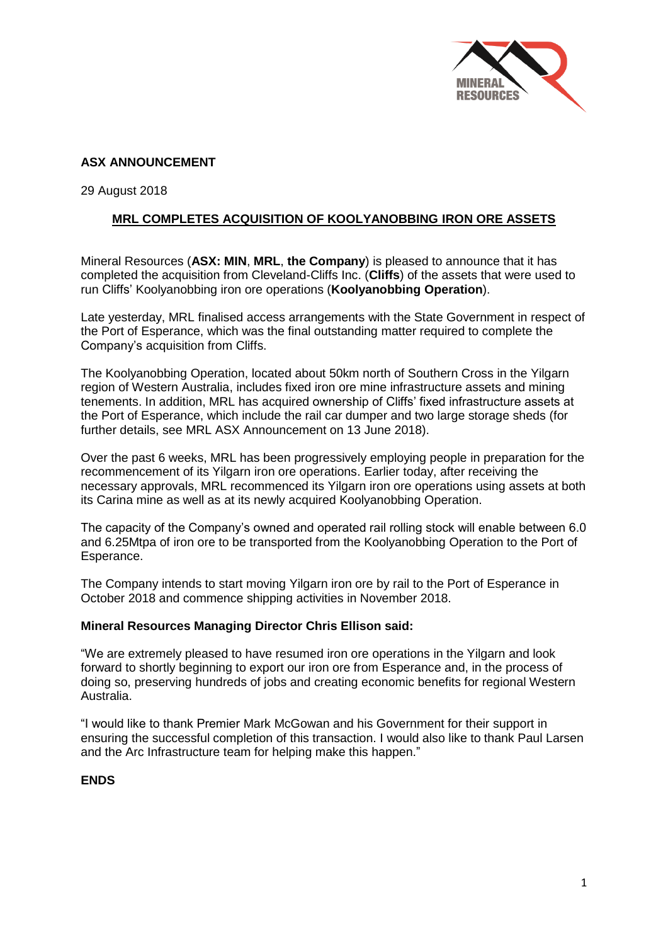

# **ASX ANNOUNCEMENT**

29 August 2018

## **MRL COMPLETES ACQUISITION OF KOOLYANOBBING IRON ORE ASSETS**

Mineral Resources (**ASX: MIN**, **MRL**, **the Company**) is pleased to announce that it has completed the acquisition from Cleveland-Cliffs Inc. (**Cliffs**) of the assets that were used to run Cliffs' Koolyanobbing iron ore operations (**Koolyanobbing Operation**).

Late yesterday, MRL finalised access arrangements with the State Government in respect of the Port of Esperance, which was the final outstanding matter required to complete the Company's acquisition from Cliffs.

The Koolyanobbing Operation, located about 50km north of Southern Cross in the Yilgarn region of Western Australia, includes fixed iron ore mine infrastructure assets and mining tenements. In addition, MRL has acquired ownership of Cliffs' fixed infrastructure assets at the Port of Esperance, which include the rail car dumper and two large storage sheds (for further details, see MRL ASX Announcement on 13 June 2018).

Over the past 6 weeks, MRL has been progressively employing people in preparation for the recommencement of its Yilgarn iron ore operations. Earlier today, after receiving the necessary approvals, MRL recommenced its Yilgarn iron ore operations using assets at both its Carina mine as well as at its newly acquired Koolyanobbing Operation.

The capacity of the Company's owned and operated rail rolling stock will enable between 6.0 and 6.25Mtpa of iron ore to be transported from the Koolyanobbing Operation to the Port of Esperance.

The Company intends to start moving Yilgarn iron ore by rail to the Port of Esperance in October 2018 and commence shipping activities in November 2018.

### **Mineral Resources Managing Director Chris Ellison said:**

"We are extremely pleased to have resumed iron ore operations in the Yilgarn and look forward to shortly beginning to export our iron ore from Esperance and, in the process of doing so, preserving hundreds of jobs and creating economic benefits for regional Western Australia.

"I would like to thank Premier Mark McGowan and his Government for their support in ensuring the successful completion of this transaction. I would also like to thank Paul Larsen and the Arc Infrastructure team for helping make this happen."

### **ENDS**